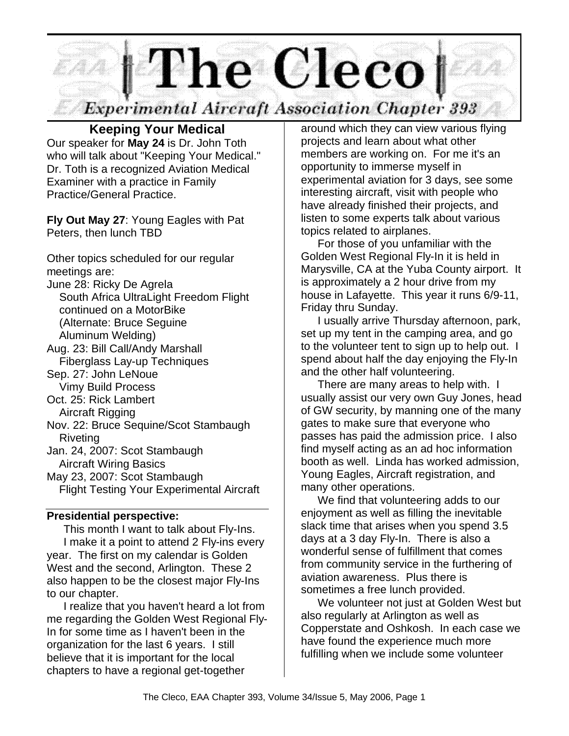

# **Keeping Your Medical**

Our speaker for **May 24** is Dr. John Toth who will talk about "Keeping Your Medical." Dr. Toth is a recognized Aviation Medical Examiner with a practice in Family Practice/General Practice.

**Fly Out May 27**: Young Eagles with Pat Peters, then lunch TBD

Other topics scheduled for our regular meetings are:

- June 28: Ricky De Agrela
	- South Africa UltraLight Freedom Flight continued on a MotorBike (Alternate: Bruce Seguine Aluminum Welding)
- Aug. 23: Bill Call/Andy Marshall Fiberglass Lay-up Techniques
- Sep. 27: John LeNoue Vimy Build Process
- Oct. 25: Rick Lambert
- Aircraft Rigging

Nov. 22: Bruce Sequine/Scot Stambaugh Riveting

Jan. 24, 2007: Scot Stambaugh

Aircraft Wiring Basics

May 23, 2007: Scot Stambaugh

Flight Testing Your Experimental Aircraft

#### **Presidential perspective:**

This month I want to talk about Fly-Ins. I make it a point to attend 2 Fly-ins every year. The first on my calendar is Golden West and the second, Arlington. These 2 also happen to be the closest major Fly-Ins to our chapter.

I realize that you haven't heard a lot from me regarding the Golden West Regional Fly-In for some time as I haven't been in the organization for the last 6 years. I still believe that it is important for the local chapters to have a regional get-together

around which they can view various flying projects and learn about what other members are working on. For me it's an opportunity to immerse myself in experimental aviation for 3 days, see some interesting aircraft, visit with people who have already finished their projects, and listen to some experts talk about various topics related to airplanes.

For those of you unfamiliar with the Golden West Regional Fly-In it is held in Marysville, CA at the Yuba County airport. It is approximately a 2 hour drive from my house in Lafayette. This year it runs 6/9-11, Friday thru Sunday.

I usually arrive Thursday afternoon, park, set up my tent in the camping area, and go to the volunteer tent to sign up to help out. I spend about half the day enjoying the Fly-In and the other half volunteering.

There are many areas to help with. I usually assist our very own Guy Jones, head of GW security, by manning one of the many gates to make sure that everyone who passes has paid the admission price. I also find myself acting as an ad hoc information booth as well. Linda has worked admission, Young Eagles, Aircraft registration, and many other operations.

We find that volunteering adds to our enjoyment as well as filling the inevitable slack time that arises when you spend 3.5 days at a 3 day Fly-In. There is also a wonderful sense of fulfillment that comes from community service in the furthering of aviation awareness. Plus there is sometimes a free lunch provided.

We volunteer not just at Golden West but also regularly at Arlington as well as Copperstate and Oshkosh. In each case we have found the experience much more fulfilling when we include some volunteer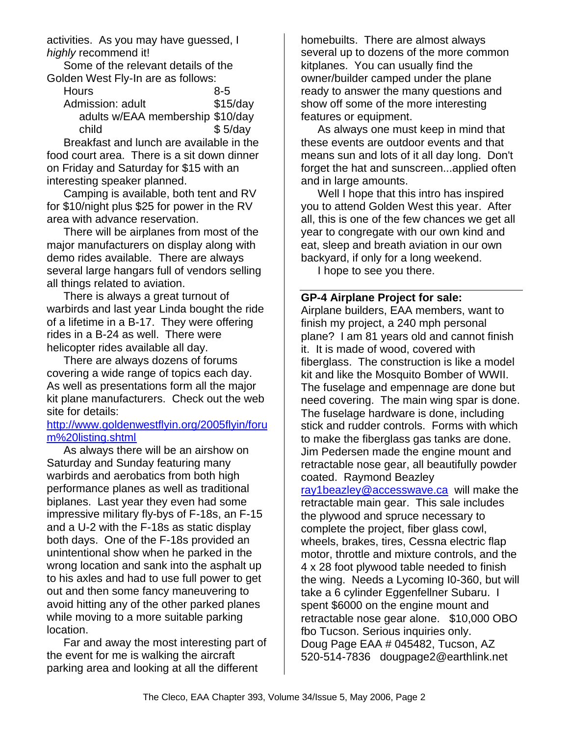activities. As you may have guessed, I *highly* recommend it!

Some of the relevant details of the Golden West Fly-In are as follows:

| <b>Hours</b>                     | $8 - 5$    |
|----------------------------------|------------|
| Admission: adult                 | $$15$ /day |
| adults w/EAA membership \$10/day |            |
| child                            | \$5/day    |

Breakfast and lunch are available in the food court area. There is a sit down dinner on Friday and Saturday for \$15 with an interesting speaker planned.

Camping is available, both tent and RV for \$10/night plus \$25 for power in the RV area with advance reservation.

There will be airplanes from most of the major manufacturers on display along with demo rides available. There are always several large hangars full of vendors selling all things related to aviation.

There is always a great turnout of warbirds and last year Linda bought the ride of a lifetime in a B-17. They were offering rides in a B-24 as well. There were helicopter rides available all day.

There are always dozens of forums covering a wide range of topics each day. As well as presentations form all the major kit plane manufacturers. Check out the web site for details:

#### http://www.goldenwestflyin.org/2005flyin/foru m%20listing.shtml

As always there will be an airshow on Saturday and Sunday featuring many warbirds and aerobatics from both high performance planes as well as traditional biplanes. Last year they even had some impressive military fly-bys of F-18s, an F-15 and a U-2 with the F-18s as static display both days. One of the F-18s provided an unintentional show when he parked in the wrong location and sank into the asphalt up to his axles and had to use full power to get out and then some fancy maneuvering to avoid hitting any of the other parked planes while moving to a more suitable parking location.

Far and away the most interesting part of the event for me is walking the aircraft parking area and looking at all the different

homebuilts. There are almost always several up to dozens of the more common kitplanes. You can usually find the owner/builder camped under the plane ready to answer the many questions and show off some of the more interesting features or equipment.

As always one must keep in mind that these events are outdoor events and that means sun and lots of it all day long. Don't forget the hat and sunscreen...applied often and in large amounts.

Well I hope that this intro has inspired you to attend Golden West this year. After all, this is one of the few chances we get all year to congregate with our own kind and eat, sleep and breath aviation in our own backyard, if only for a long weekend.

I hope to see you there.

#### **GP-4 Airplane Project for sale:**

Airplane builders, EAA members, want to finish my project, a 240 mph personal plane? I am 81 years old and cannot finish it. It is made of wood, covered with fiberglass. The construction is like a model kit and like the Mosquito Bomber of WWII. The fuselage and empennage are done but need covering. The main wing spar is done. The fuselage hardware is done, including stick and rudder controls. Forms with which to make the fiberglass gas tanks are done. Jim Pedersen made the engine mount and retractable nose gear, all beautifully powder coated. Raymond Beazley ray1beazley@accesswave.ca will make the retractable main gear. This sale includes the plywood and spruce necessary to complete the project, fiber glass cowl, wheels, brakes, tires, Cessna electric flap motor, throttle and mixture controls, and the 4 x 28 foot plywood table needed to finish the wing. Needs a Lycoming I0-360, but will take a 6 cylinder Eggenfellner Subaru. I spent \$6000 on the engine mount and retractable nose gear alone. \$10,000 OBO fbo Tucson. Serious inquiries only. Doug Page EAA # 045482, Tucson, AZ 520-514-7836 dougpage2@earthlink.net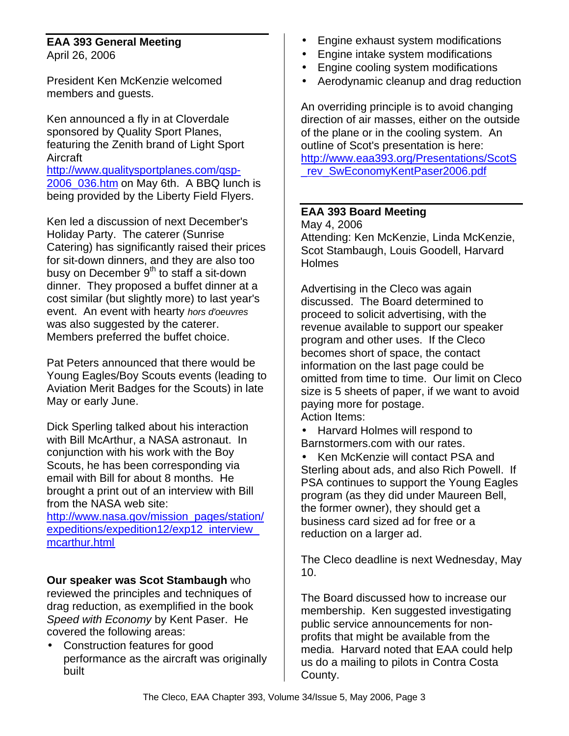#### **EAA 393 General Meeting** April 26, 2006

President Ken McKenzie welcomed members and guests.

Ken announced a fly in at Cloverdale sponsored by Quality Sport Planes, featuring the Zenith brand of Light Sport Aircraft http://www.qualitysportplanes.com/qsp-2006 036.htm on May 6th. A BBQ lunch is

being provided by the Liberty Field Flyers.

Ken led a discussion of next December's Holiday Party. The caterer (Sunrise Catering) has significantly raised their prices for sit-down dinners, and they are also too busy on December  $9<sup>th</sup>$  to staff a sit-down dinner. They proposed a buffet dinner at a cost similar (but slightly more) to last year's event. An event with hearty *hors d'oeuvres* was also suggested by the caterer. Members preferred the buffet choice.

Pat Peters announced that there would be Young Eagles/Boy Scouts events (leading to Aviation Merit Badges for the Scouts) in late May or early June.

Dick Sperling talked about his interaction with Bill McArthur, a NASA astronaut. In conjunction with his work with the Boy Scouts, he has been corresponding via email with Bill for about 8 months. He brought a print out of an interview with Bill from the NASA web site:

http://www.nasa.gov/mission\_pages/station/ expeditions/expedition12/exp12\_interview\_ mcarthur.html

**Our speaker was Scot Stambaugh** who reviewed the principles and techniques of drag reduction, as exemplified in the book *Speed with Economy* by Kent Paser. He covered the following areas:

• Construction features for good performance as the aircraft was originally built

- Engine exhaust system modifications
- Engine intake system modifications
- Engine cooling system modifications
- Aerodynamic cleanup and drag reduction

An overriding principle is to avoid changing direction of air masses, either on the outside of the plane or in the cooling system. An outline of Scot's presentation is here: http://www.eaa393.org/Presentations/ScotS rev\_SwEconomyKentPaser2006.pdf

#### **EAA 393 Board Meeting**

May 4, 2006 Attending: Ken McKenzie, Linda McKenzie, Scot Stambaugh, Louis Goodell, Harvard Holmes

Advertising in the Cleco was again discussed. The Board determined to proceed to solicit advertising, with the revenue available to support our speaker program and other uses. If the Cleco becomes short of space, the contact information on the last page could be omitted from time to time. Our limit on Cleco size is 5 sheets of paper, if we want to avoid paying more for postage.

Action Items:

• Harvard Holmes will respond to Barnstormers.com with our rates.

• Ken McKenzie will contact PSA and Sterling about ads, and also Rich Powell. If PSA continues to support the Young Eagles program (as they did under Maureen Bell, the former owner), they should get a business card sized ad for free or a reduction on a larger ad.

The Cleco deadline is next Wednesday, May 10.

The Board discussed how to increase our membership. Ken suggested investigating public service announcements for nonprofits that might be available from the media. Harvard noted that EAA could help us do a mailing to pilots in Contra Costa County.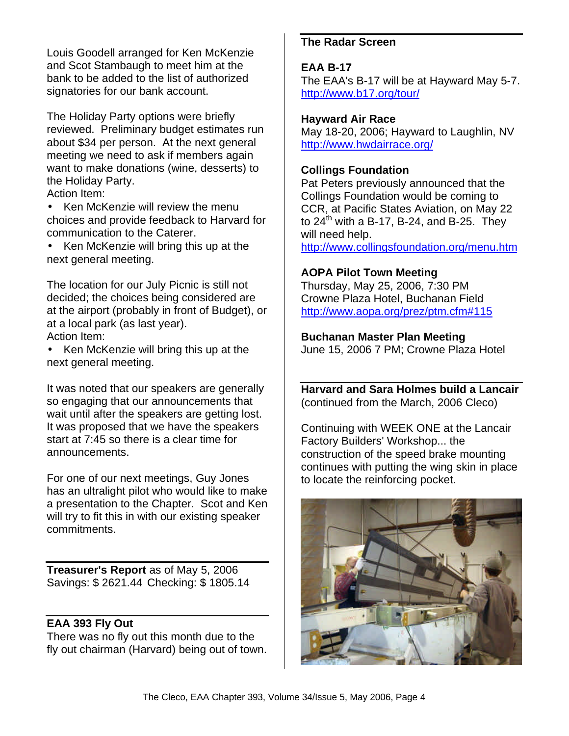Louis Goodell arranged for Ken McKenzie and Scot Stambaugh to meet him at the bank to be added to the list of authorized signatories for our bank account.

The Holiday Party options were briefly reviewed. Preliminary budget estimates run about \$34 per person. At the next general meeting we need to ask if members again want to make donations (wine, desserts) to the Holiday Party.

Action Item:

• Ken McKenzie will review the menu choices and provide feedback to Harvard for communication to the Caterer.

• Ken McKenzie will bring this up at the next general meeting.

The location for our July Picnic is still not decided; the choices being considered are at the airport (probably in front of Budget), or at a local park (as last year). Action Item:

• Ken McKenzie will bring this up at the next general meeting.

It was noted that our speakers are generally so engaging that our announcements that wait until after the speakers are getting lost. It was proposed that we have the speakers start at 7:45 so there is a clear time for announcements.

For one of our next meetings, Guy Jones has an ultralight pilot who would like to make a presentation to the Chapter. Scot and Ken will try to fit this in with our existing speaker commitments.

**Treasurer's Report** as of May 5, 2006 Savings: \$ 2621.44 Checking: \$ 1805.14

## **EAA 393 Fly Out**

There was no fly out this month due to the fly out chairman (Harvard) being out of town.

## **The Radar Screen**

## **EAA B-17**

The EAA's B-17 will be at Hayward May 5-7. http://www.b17.org/tour/

#### **Hayward Air Race**

May 18-20, 2006; Hayward to Laughlin, NV http://www.hwdairrace.org/

## **Collings Foundation**

Pat Peters previously announced that the Collings Foundation would be coming to CCR, at Pacific States Aviation, on May 22 to  $24<sup>th</sup>$  with a B-17, B-24, and B-25. They will need help. http://www.collingsfoundation.org/menu.htm

## **AOPA Pilot Town Meeting**

Thursday, May 25, 2006, 7:30 PM Crowne Plaza Hotel, Buchanan Field http://www.aopa.org/prez/ptm.cfm#115

## **Buchanan Master Plan Meeting**

June 15, 2006 7 PM; Crowne Plaza Hotel

**Harvard and Sara Holmes build a Lancair** (continued from the March, 2006 Cleco)

Continuing with WEEK ONE at the Lancair Factory Builders' Workshop... the construction of the speed brake mounting continues with putting the wing skin in place to locate the reinforcing pocket.

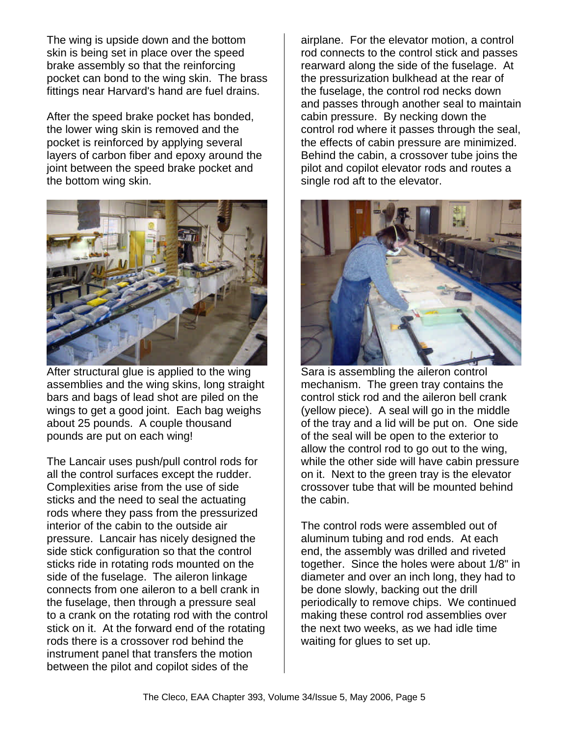The wing is upside down and the bottom skin is being set in place over the speed brake assembly so that the reinforcing pocket can bond to the wing skin. The brass fittings near Harvard's hand are fuel drains.

After the speed brake pocket has bonded, the lower wing skin is removed and the pocket is reinforced by applying several layers of carbon fiber and epoxy around the joint between the speed brake pocket and the bottom wing skin.



After structural glue is applied to the wing assemblies and the wing skins, long straight bars and bags of lead shot are piled on the wings to get a good joint. Each bag weighs about 25 pounds. A couple thousand pounds are put on each wing!

The Lancair uses push/pull control rods for all the control surfaces except the rudder. Complexities arise from the use of side sticks and the need to seal the actuating rods where they pass from the pressurized interior of the cabin to the outside air pressure. Lancair has nicely designed the side stick configuration so that the control sticks ride in rotating rods mounted on the side of the fuselage. The aileron linkage connects from one aileron to a bell crank in the fuselage, then through a pressure seal to a crank on the rotating rod with the control stick on it. At the forward end of the rotating rods there is a crossover rod behind the instrument panel that transfers the motion between the pilot and copilot sides of the

airplane. For the elevator motion, a control rod connects to the control stick and passes rearward along the side of the fuselage. At the pressurization bulkhead at the rear of the fuselage, the control rod necks down and passes through another seal to maintain cabin pressure. By necking down the control rod where it passes through the seal, the effects of cabin pressure are minimized. Behind the cabin, a crossover tube joins the pilot and copilot elevator rods and routes a single rod aft to the elevator.



Sara is assembling the aileron control mechanism. The green tray contains the control stick rod and the aileron bell crank (yellow piece). A seal will go in the middle of the tray and a lid will be put on. One side of the seal will be open to the exterior to allow the control rod to go out to the wing, while the other side will have cabin pressure on it. Next to the green tray is the elevator crossover tube that will be mounted behind the cabin.

The control rods were assembled out of aluminum tubing and rod ends. At each end, the assembly was drilled and riveted together. Since the holes were about 1/8" in diameter and over an inch long, they had to be done slowly, backing out the drill periodically to remove chips. We continued making these control rod assemblies over the next two weeks, as we had idle time waiting for glues to set up.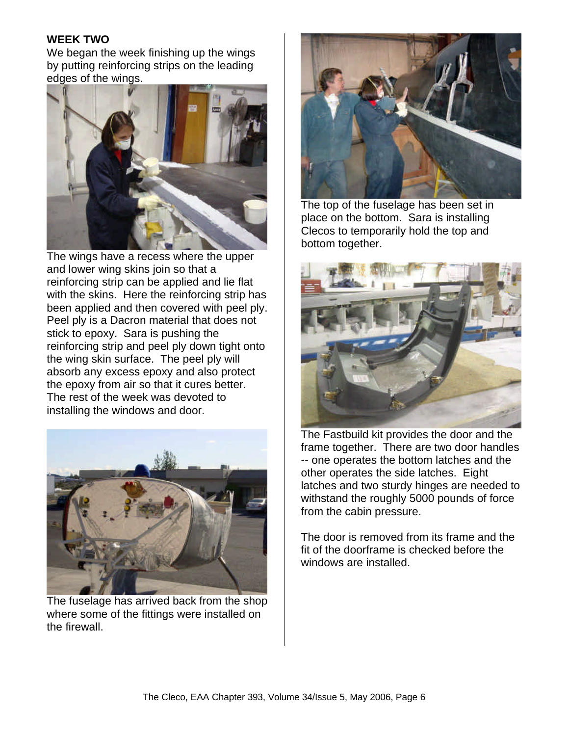#### **WEEK TWO**

We began the week finishing up the wings by putting reinforcing strips on the leading edges of the wings.



The wings have a recess where the upper and lower wing skins join so that a reinforcing strip can be applied and lie flat with the skins. Here the reinforcing strip has been applied and then covered with peel ply. Peel ply is a Dacron material that does not stick to epoxy. Sara is pushing the reinforcing strip and peel ply down tight onto the wing skin surface. The peel ply will absorb any excess epoxy and also protect the epoxy from air so that it cures better. The rest of the week was devoted to installing the windows and door.



The fuselage has arrived back from the shop where some of the fittings were installed on the firewall.



The top of the fuselage has been set in place on the bottom. Sara is installing Clecos to temporarily hold the top and bottom together.



The Fastbuild kit provides the door and the frame together. There are two door handles -- one operates the bottom latches and the other operates the side latches. Eight latches and two sturdy hinges are needed to withstand the roughly 5000 pounds of force from the cabin pressure.

The door is removed from its frame and the fit of the doorframe is checked before the windows are installed.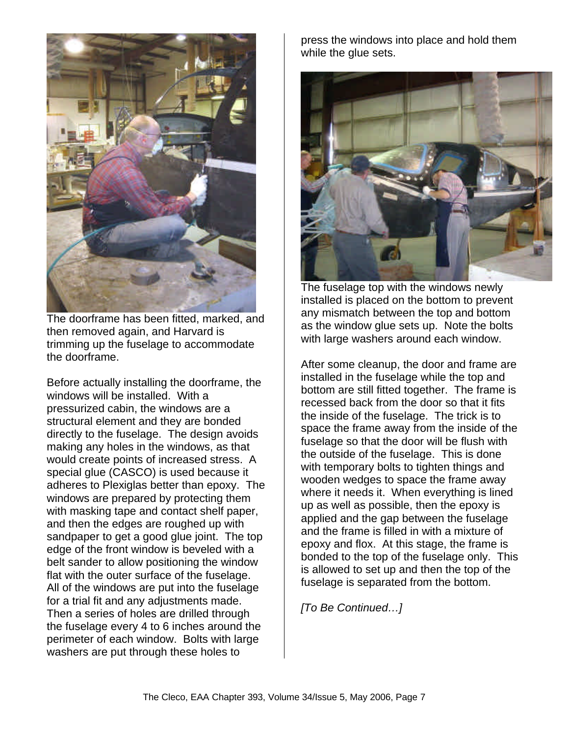

The doorframe has been fitted, marked, and then removed again, and Harvard is trimming up the fuselage to accommodate the doorframe.

Before actually installing the doorframe, the windows will be installed. With a pressurized cabin, the windows are a structural element and they are bonded directly to the fuselage. The design avoids making any holes in the windows, as that would create points of increased stress. A special glue (CASCO) is used because it adheres to Plexiglas better than epoxy. The windows are prepared by protecting them with masking tape and contact shelf paper, and then the edges are roughed up with sandpaper to get a good glue joint. The top edge of the front window is beveled with a belt sander to allow positioning the window flat with the outer surface of the fuselage. All of the windows are put into the fuselage for a trial fit and any adjustments made. Then a series of holes are drilled through the fuselage every 4 to 6 inches around the perimeter of each window. Bolts with large washers are put through these holes to

press the windows into place and hold them while the glue sets.



The fuselage top with the windows newly installed is placed on the bottom to prevent any mismatch between the top and bottom as the window glue sets up. Note the bolts with large washers around each window.

After some cleanup, the door and frame are installed in the fuselage while the top and bottom are still fitted together. The frame is recessed back from the door so that it fits the inside of the fuselage. The trick is to space the frame away from the inside of the fuselage so that the door will be flush with the outside of the fuselage. This is done with temporary bolts to tighten things and wooden wedges to space the frame away where it needs it. When everything is lined up as well as possible, then the epoxy is applied and the gap between the fuselage and the frame is filled in with a mixture of epoxy and flox. At this stage, the frame is bonded to the top of the fuselage only. This is allowed to set up and then the top of the fuselage is separated from the bottom.

*[To Be Continued…]*